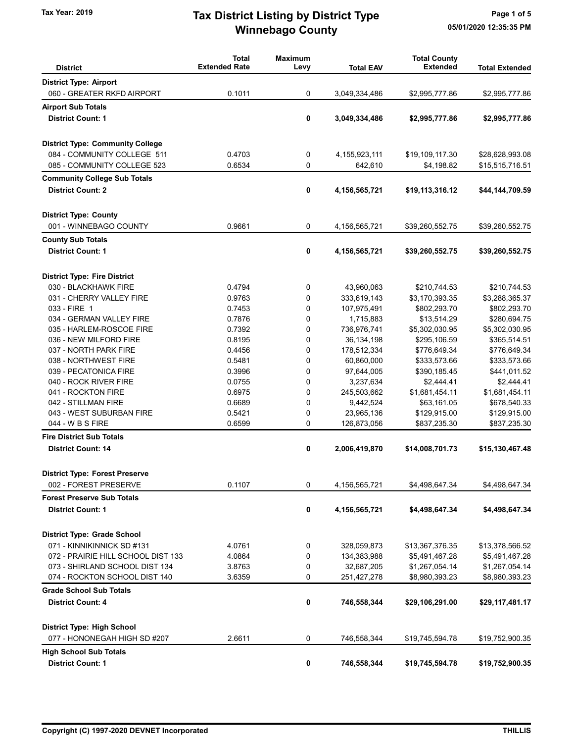## Winnebago County Tax Year: 2019 **Tax District Listing by District Type** Page 1 of 5

| <b>District</b>                         | <b>Total</b><br><b>Extended Rate</b> | <b>Maximum</b><br>Levy | <b>Total EAV</b> | <b>Total County</b><br><b>Extended</b> | <b>Total Extended</b> |
|-----------------------------------------|--------------------------------------|------------------------|------------------|----------------------------------------|-----------------------|
| <b>District Type: Airport</b>           |                                      |                        |                  |                                        |                       |
| 060 - GREATER RKFD AIRPORT              | 0.1011                               | 0                      | 3,049,334,486    | \$2,995,777.86                         | \$2,995,777.86        |
| <b>Airport Sub Totals</b>               |                                      |                        |                  |                                        |                       |
| <b>District Count: 1</b>                |                                      |                        |                  |                                        |                       |
|                                         |                                      | 0                      | 3,049,334,486    | \$2,995,777.86                         | \$2,995,777.86        |
| <b>District Type: Community College</b> |                                      |                        |                  |                                        |                       |
| 084 - COMMUNITY COLLEGE 511             | 0.4703                               | 0                      | 4, 155, 923, 111 | \$19,109,117.30                        | \$28,628,993.08       |
| 085 - COMMUNITY COLLEGE 523             | 0.6534                               | 0                      | 642,610          | \$4,198.82                             | \$15,515,716.51       |
| <b>Community College Sub Totals</b>     |                                      |                        |                  |                                        |                       |
| <b>District Count: 2</b>                |                                      | 0                      | 4,156,565,721    | \$19,113,316.12                        | \$44,144,709.59       |
| <b>District Type: County</b>            |                                      |                        |                  |                                        |                       |
| 001 - WINNEBAGO COUNTY                  | 0.9661                               | 0                      | 4,156,565,721    | \$39,260,552.75                        | \$39,260,552.75       |
| <b>County Sub Totals</b>                |                                      |                        |                  |                                        |                       |
| <b>District Count: 1</b>                |                                      | 0                      | 4,156,565,721    | \$39,260,552.75                        | \$39,260,552.75       |
| <b>District Type: Fire District</b>     |                                      |                        |                  |                                        |                       |
| 030 - BLACKHAWK FIRE                    | 0.4794                               | 0                      | 43,960,063       | \$210,744.53                           | \$210,744.53          |
| 031 - CHERRY VALLEY FIRE                | 0.9763                               | 0                      | 333,619,143      | \$3,170,393.35                         | \$3,288,365.37        |
| 033 - FIRE 1                            | 0.7453                               | $\mathbf 0$            | 107,975,491      | \$802,293.70                           | \$802,293.70          |
| 034 - GERMAN VALLEY FIRE                | 0.7876                               | 0                      | 1,715,883        | \$13,514.29                            | \$280,694.75          |
| 035 - HARLEM-ROSCOE FIRE                | 0.7392                               | 0                      | 736,976,741      | \$5,302,030.95                         | \$5,302,030.95        |
| 036 - NEW MILFORD FIRE                  | 0.8195                               | 0                      | 36,134,198       | \$295,106.59                           | \$365,514.51          |
| 037 - NORTH PARK FIRE                   | 0.4456                               | 0                      | 178,512,334      | \$776,649.34                           | \$776,649.34          |
| 038 - NORTHWEST FIRE                    | 0.5481                               | 0                      | 60,860,000       | \$333,573.66                           | \$333,573.66          |
| 039 - PECATONICA FIRE                   | 0.3996                               | 0                      | 97,644,005       | \$390,185.45                           | \$441,011.52          |
| 040 - ROCK RIVER FIRE                   | 0.0755                               | 0                      | 3,237,634        | \$2,444.41                             | \$2,444.41            |
| 041 - ROCKTON FIRE                      | 0.6975                               | 0                      | 245,503,662      | \$1,681,454.11                         | \$1,681,454.11        |
| 042 - STILLMAN FIRE                     | 0.6689                               | 0                      | 9,442,524        | \$63,161.05                            | \$678,540.33          |
| 043 - WEST SUBURBAN FIRE                | 0.5421                               | 0                      | 23,965,136       | \$129,915.00                           | \$129,915.00          |
| 044 - W B S FIRE                        | 0.6599                               | 0                      | 126,873,056      | \$837,235.30                           | \$837,235.30          |
| <b>Fire District Sub Totals</b>         |                                      |                        |                  |                                        |                       |
| <b>District Count: 14</b>               |                                      | 0                      | 2,006,419,870    | \$14,008,701.73                        | \$15,130,467.48       |
| <b>District Type: Forest Preserve</b>   |                                      |                        |                  |                                        |                       |
| 002 - FOREST PRESERVE                   | 0.1107                               | 0                      | 4,156,565,721    | \$4,498,647.34                         | \$4,498,647.34        |
| <b>Forest Preserve Sub Totals</b>       |                                      |                        |                  |                                        |                       |
| <b>District Count: 1</b>                |                                      | 0                      | 4,156,565,721    | \$4,498,647.34                         | \$4,498,647.34        |
| <b>District Type: Grade School</b>      |                                      |                        |                  |                                        |                       |
| 071 - KINNIKINNICK SD #131              | 4.0761                               | 0                      | 328,059,873      | \$13,367,376.35                        | \$13,378,566.52       |
| 072 - PRAIRIE HILL SCHOOL DIST 133      | 4.0864                               | 0                      | 134,383,988      | \$5,491,467.28                         | \$5,491,467.28        |
| 073 - SHIRLAND SCHOOL DIST 134          | 3.8763                               | 0                      | 32,687,205       | \$1,267,054.14                         | \$1,267,054.14        |
| 074 - ROCKTON SCHOOL DIST 140           | 3.6359                               | 0                      | 251,427,278      | \$8,980,393.23                         | \$8,980,393.23        |
| <b>Grade School Sub Totals</b>          |                                      |                        |                  |                                        |                       |
| <b>District Count: 4</b>                |                                      | 0                      | 746,558,344      | \$29,106,291.00                        | \$29,117,481.17       |
| <b>District Type: High School</b>       |                                      |                        |                  |                                        |                       |
| 077 - HONONEGAH HIGH SD #207            | 2.6611                               | 0                      | 746,558,344      | \$19,745,594.78                        | \$19,752,900.35       |
| <b>High School Sub Totals</b>           |                                      |                        |                  |                                        |                       |
| <b>District Count: 1</b>                |                                      | 0                      | 746,558,344      | \$19,745,594.78                        | \$19,752,900.35       |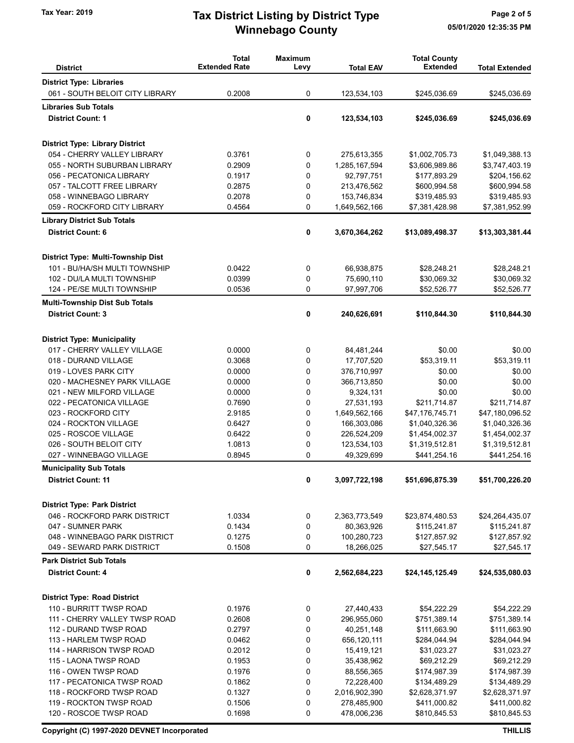## Winnebago County Tax Year: 2019 **Tax District Listing by District Type** Page 2 of 5

| <b>District</b>                                                | <b>Total</b><br><b>Extended Rate</b> | <b>Maximum</b><br>Levy | <b>Total EAV</b>            | <b>Total County</b><br><b>Extended</b> | <b>Total Extended</b>           |
|----------------------------------------------------------------|--------------------------------------|------------------------|-----------------------------|----------------------------------------|---------------------------------|
| <b>District Type: Libraries</b>                                |                                      |                        |                             |                                        |                                 |
| 061 - SOUTH BELOIT CITY LIBRARY                                | 0.2008                               | 0                      |                             | \$245,036.69                           | \$245,036.69                    |
|                                                                |                                      |                        | 123,534,103                 |                                        |                                 |
| <b>Libraries Sub Totals</b>                                    |                                      |                        |                             |                                        |                                 |
| <b>District Count: 1</b>                                       |                                      | 0                      | 123,534,103                 | \$245,036.69                           | \$245,036.69                    |
| <b>District Type: Library District</b>                         |                                      |                        |                             |                                        |                                 |
| 054 - CHERRY VALLEY LIBRARY                                    | 0.3761                               | 0                      | 275,613,355                 | \$1,002,705.73                         | \$1,049,388.13                  |
| 055 - NORTH SUBURBAN LIBRARY                                   | 0.2909                               | 0                      | 1,285,167,594               | \$3,606,989.86                         | \$3,747,403.19                  |
| 056 - PECATONICA LIBRARY                                       | 0.1917                               | 0                      | 92,797,751                  | \$177,893.29                           | \$204,156.62                    |
| 057 - TALCOTT FREE LIBRARY                                     | 0.2875                               | 0                      | 213,476,562                 | \$600,994.58                           | \$600,994.58                    |
| 058 - WINNEBAGO LIBRARY                                        | 0.2078                               | 0                      | 153,746,834                 | \$319,485.93                           | \$319,485.93                    |
| 059 - ROCKFORD CITY LIBRARY                                    | 0.4564                               | 0                      | 1,649,562,166               | \$7,381,428.98                         | \$7,381,952.99                  |
| <b>Library District Sub Totals</b>                             |                                      |                        |                             |                                        |                                 |
| <b>District Count: 6</b>                                       |                                      | 0                      | 3,670,364,262               | \$13,089,498.37                        | \$13,303,381.44                 |
| District Type: Multi-Township Dist                             |                                      |                        |                             |                                        |                                 |
| 101 - BU/HA/SH MULTI TOWNSHIP                                  | 0.0422                               | 0                      | 66,938,875                  | \$28,248.21                            | \$28,248.21                     |
| 102 - DU/LA MULTI TOWNSHIP                                     | 0.0399                               | 0                      | 75,690,110                  | \$30,069.32                            | \$30,069.32                     |
| 124 - PE/SE MULTI TOWNSHIP                                     | 0.0536                               | 0                      | 97,997,706                  | \$52,526.77                            | \$52,526.77                     |
| <b>Multi-Township Dist Sub Totals</b>                          |                                      |                        |                             |                                        |                                 |
| <b>District Count: 3</b>                                       |                                      | 0                      | 240,626,691                 | \$110,844.30                           | \$110,844.30                    |
|                                                                |                                      |                        |                             |                                        |                                 |
| <b>District Type: Municipality</b>                             |                                      |                        |                             |                                        |                                 |
| 017 - CHERRY VALLEY VILLAGE                                    | 0.0000                               | 0<br>0                 | 84,481,244                  | \$0.00                                 | \$0.00<br>\$53,319.11           |
| 018 - DURAND VILLAGE<br>019 - LOVES PARK CITY                  | 0.3068<br>0.0000                     | 0                      | 17,707,520<br>376,710,997   | \$53,319.11<br>\$0.00                  | \$0.00                          |
| 020 - MACHESNEY PARK VILLAGE                                   | 0.0000                               | 0                      | 366,713,850                 | \$0.00                                 | \$0.00                          |
| 021 - NEW MILFORD VILLAGE                                      | 0.0000                               | 0                      | 9,324,131                   | \$0.00                                 | \$0.00                          |
| 022 - PECATONICA VILLAGE                                       | 0.7690                               | 0                      | 27,531,193                  | \$211,714.87                           | \$211,714.87                    |
| 023 - ROCKFORD CITY                                            | 2.9185                               | 0                      | 1,649,562,166               | \$47,176,745.71                        | \$47,180,096.52                 |
| 024 - ROCKTON VILLAGE                                          | 0.6427                               | 0                      | 166,303,086                 | \$1,040,326.36                         | \$1,040,326.36                  |
| 025 - ROSCOE VILLAGE                                           | 0.6422                               | 0                      | 226,524,209                 | \$1,454,002.37                         | \$1,454,002.37                  |
| 026 - SOUTH BELOIT CITY                                        | 1.0813                               | 0                      | 123,534,103                 | \$1,319,512.81                         | \$1,319,512.81                  |
| 027 - WINNEBAGO VILLAGE                                        | 0.8945                               | 0                      | 49,329,699                  | \$441,254.16                           | \$441,254.16                    |
| <b>Municipality Sub Totals</b>                                 |                                      |                        |                             |                                        |                                 |
| <b>District Count: 11</b>                                      |                                      | 0                      | 3,097,722,198               | \$51,696,875.39                        | \$51,700,226.20                 |
| <b>District Type: Park District</b>                            |                                      |                        |                             |                                        |                                 |
| 046 - ROCKFORD PARK DISTRICT                                   | 1.0334                               |                        |                             |                                        |                                 |
| 047 - SUMNER PARK                                              | 0.1434                               | 0<br>0                 | 2,363,773,549<br>80,363,926 | \$23,874,480.53<br>\$115,241.87        | \$24,264,435.07<br>\$115,241.87 |
| 048 - WINNEBAGO PARK DISTRICT                                  | 0.1275                               | 0                      | 100,280,723                 | \$127,857.92                           | \$127,857.92                    |
| 049 - SEWARD PARK DISTRICT                                     | 0.1508                               | 0                      | 18,266,025                  | \$27,545.17                            | \$27,545.17                     |
| <b>Park District Sub Totals</b>                                |                                      |                        |                             |                                        |                                 |
| <b>District Count: 4</b>                                       |                                      | 0                      | 2,562,684,223               | \$24,145,125.49                        | \$24,535,080.03                 |
|                                                                |                                      |                        |                             |                                        |                                 |
| <b>District Type: Road District</b><br>110 - BURRITT TWSP ROAD | 0.1976                               |                        | 27,440,433                  | \$54,222.29                            | \$54,222.29                     |
|                                                                |                                      | 0                      |                             |                                        |                                 |
| 111 - CHERRY VALLEY TWSP ROAD<br>112 - DURAND TWSP ROAD        | 0.2608<br>0.2797                     | 0<br>0                 | 296,955,060<br>40,251,148   | \$751,389.14<br>\$111,663.90           | \$751,389.14<br>\$111,663.90    |
| 113 - HARLEM TWSP ROAD                                         | 0.0462                               | 0                      |                             |                                        |                                 |
| 114 - HARRISON TWSP ROAD                                       | 0.2012                               | 0                      | 656,120,111<br>15,419,121   | \$284,044.94<br>\$31,023.27            | \$284,044.94<br>\$31,023.27     |
| 115 - LAONA TWSP ROAD                                          | 0.1953                               | 0                      | 35,438,962                  | \$69,212.29                            | \$69,212.29                     |
| 116 - OWEN TWSP ROAD                                           | 0.1976                               | 0                      | 88,556,365                  | \$174,987.39                           | \$174,987.39                    |
| 117 - PECATONICA TWSP ROAD                                     | 0.1862                               | 0                      | 72,228,400                  | \$134,489.29                           | \$134,489.29                    |
| 118 - ROCKFORD TWSP ROAD                                       | 0.1327                               | 0                      | 2,016,902,390               | \$2,628,371.97                         | \$2,628,371.97                  |
| 119 - ROCKTON TWSP ROAD                                        | 0.1506                               | 0                      | 278,485,900                 | \$411,000.82                           | \$411,000.82                    |
| 120 - ROSCOE TWSP ROAD                                         | 0.1698                               | 0                      | 478,006,236                 | \$810,845.53                           | \$810,845.53                    |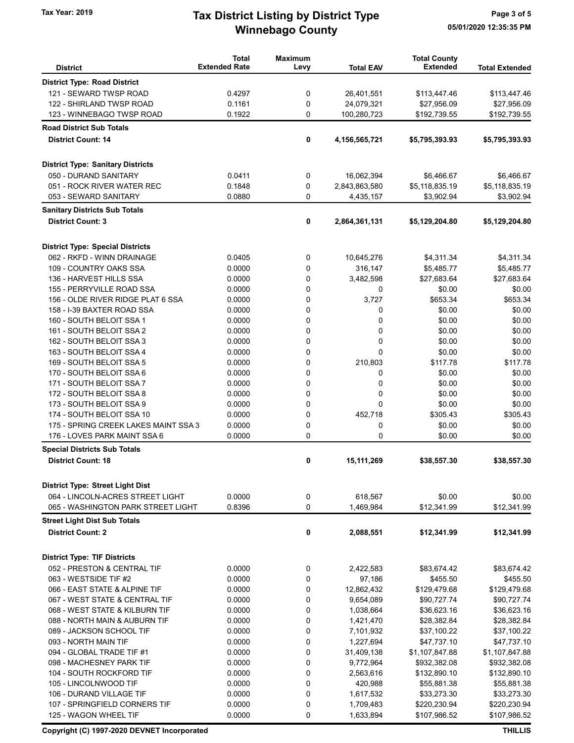## Winnebago County Tax Year: 2019 **Tax District Listing by District Type** Page 3 of 5

|                                          | <b>Total</b><br><b>Extended Rate</b> | <b>Maximum</b> |                  | <b>Total County</b> |                       |
|------------------------------------------|--------------------------------------|----------------|------------------|---------------------|-----------------------|
| <b>District</b>                          |                                      | Levy           | <b>Total EAV</b> | <b>Extended</b>     | <b>Total Extended</b> |
| <b>District Type: Road District</b>      |                                      |                |                  |                     |                       |
| 121 - SEWARD TWSP ROAD                   | 0.4297                               | 0              | 26,401,551       | \$113,447.46        | \$113,447.46          |
| 122 - SHIRLAND TWSP ROAD                 | 0.1161                               | 0              | 24,079,321       | \$27,956.09         | \$27,956.09           |
| 123 - WINNEBAGO TWSP ROAD                | 0.1922                               | 0              | 100,280,723      | \$192,739.55        | \$192,739.55          |
| <b>Road District Sub Totals</b>          |                                      |                |                  |                     |                       |
| <b>District Count: 14</b>                |                                      | 0              | 4,156,565,721    | \$5,795,393.93      | \$5,795,393.93        |
| <b>District Type: Sanitary Districts</b> |                                      |                |                  |                     |                       |
| 050 - DURAND SANITARY                    | 0.0411                               | 0              | 16,062,394       | \$6,466.67          | \$6,466.67            |
| 051 - ROCK RIVER WATER REC               | 0.1848                               | 0              | 2,843,863,580    | \$5,118,835.19      | \$5,118,835.19        |
| 053 - SEWARD SANITARY                    | 0.0880                               | 0              | 4,435,157        | \$3,902.94          | \$3,902.94            |
| <b>Sanitary Districts Sub Totals</b>     |                                      |                |                  |                     |                       |
| <b>District Count: 3</b>                 |                                      | 0              | 2,864,361,131    | \$5,129,204.80      | \$5,129,204.80        |
| <b>District Type: Special Districts</b>  |                                      |                |                  |                     |                       |
| 062 - RKFD - WINN DRAINAGE               | 0.0405                               | 0              | 10,645,276       | \$4,311.34          | \$4,311.34            |
| 109 - COUNTRY OAKS SSA                   | 0.0000                               | 0              | 316,147          | \$5,485.77          | \$5,485.77            |
| 136 - HARVEST HILLS SSA                  | 0.0000                               | 0              | 3,482,598        | \$27,683.64         | \$27,683.64           |
| 155 - PERRYVILLE ROAD SSA                | 0.0000                               | 0              | 0                | \$0.00              | \$0.00                |
| 156 - OLDE RIVER RIDGE PLAT 6 SSA        | 0.0000                               | 0              | 3,727            | \$653.34            | \$653.34              |
| 158 - I-39 BAXTER ROAD SSA               | 0.0000                               | 0              | 0                | \$0.00              | \$0.00                |
| 160 - SOUTH BELOIT SSA 1                 | 0.0000                               | 0              | 0                | \$0.00              | \$0.00                |
| 161 - SOUTH BELOIT SSA 2                 | 0.0000                               | 0              | 0                | \$0.00              | \$0.00                |
| 162 - SOUTH BELOIT SSA 3                 | 0.0000                               | 0              | 0                | \$0.00              | \$0.00                |
| 163 - SOUTH BELOIT SSA 4                 | 0.0000                               | $\Omega$       | $\Omega$         | \$0.00              | \$0.00                |
| 169 - SOUTH BELOIT SSA 5                 | 0.0000                               | 0              | 210,803          | \$117.78            | \$117.78              |
| 170 - SOUTH BELOIT SSA 6                 | 0.0000                               | 0              | 0                | \$0.00              | \$0.00                |
| 171 - SOUTH BELOIT SSA 7                 | 0.0000                               | 0              | 0                | \$0.00              | \$0.00                |
| 172 - SOUTH BELOIT SSA 8                 | 0.0000                               | 0              | 0                | \$0.00              | \$0.00                |
| 173 - SOUTH BELOIT SSA 9                 | 0.0000                               | 0              | $\Omega$         | \$0.00              | \$0.00                |
| 174 - SOUTH BELOIT SSA 10                | 0.0000                               | 0              | 452.718          | \$305.43            | \$305.43              |
| 175 - SPRING CREEK LAKES MAINT SSA 3     | 0.0000                               | 0              | 0                | \$0.00              | \$0.00                |
| 176 - LOVES PARK MAINT SSA 6             | 0.0000                               | $\mathbf 0$    | 0                | \$0.00              | \$0.00                |
| <b>Special Districts Sub Totals</b>      |                                      |                |                  |                     |                       |
| <b>District Count: 18</b>                |                                      | 0              | 15,111,269       | \$38,557.30         | \$38,557.30           |
| <b>District Type: Street Light Dist</b>  |                                      |                |                  |                     |                       |
| 064 - LINCOLN-ACRES STREET LIGHT         | 0.0000                               | 0              | 618,567          | \$0.00              | \$0.00                |
| 065 - WASHINGTON PARK STREET LIGHT       | 0.8396                               | 0              | 1,469,984        | \$12,341.99         | \$12,341.99           |
| <b>Street Light Dist Sub Totals</b>      |                                      |                |                  |                     |                       |
| <b>District Count: 2</b>                 |                                      | 0              | 2,088,551        | \$12,341.99         | \$12,341.99           |
| <b>District Type: TIF Districts</b>      |                                      |                |                  |                     |                       |
| 052 - PRESTON & CENTRAL TIF              | 0.0000                               | 0              | 2,422,583        | \$83,674.42         | \$83,674.42           |
| 063 - WESTSIDE TIF #2                    | 0.0000                               | 0              | 97,186           | \$455.50            | \$455.50              |
| 066 - EAST STATE & ALPINE TIF            | 0.0000                               | 0              | 12,862,432       | \$129,479.68        | \$129,479.68          |
| 067 - WEST STATE & CENTRAL TIF           | 0.0000                               | 0              | 9,654,089        | \$90,727.74         | \$90,727.74           |
| 068 - WEST STATE & KILBURN TIF           | 0.0000                               | 0              | 1,038,664        | \$36,623.16         | \$36,623.16           |
| 088 - NORTH MAIN & AUBURN TIF            | 0.0000                               | 0              | 1,421,470        | \$28,382.84         | \$28,382.84           |
| 089 - JACKSON SCHOOL TIF                 | 0.0000                               | 0              | 7,101,932        | \$37,100.22         | \$37,100.22           |
| 093 - NORTH MAIN TIF                     | 0.0000                               | 0              | 1,227,694        | \$47,737.10         | \$47,737.10           |
| 094 - GLOBAL TRADE TIF #1                | 0.0000                               | 0              | 31,409,138       | \$1,107,847.88      | \$1,107,847.88        |
| 098 - MACHESNEY PARK TIF                 | 0.0000                               | 0              | 9,772,964        | \$932,382.08        | \$932,382.08          |
| 104 - SOUTH ROCKFORD TIF                 | 0.0000                               | 0              | 2,563,616        | \$132,890.10        | \$132,890.10          |
| 105 - LINCOLNWOOD TIF                    | 0.0000                               | 0              | 420,988          | \$55,881.38         | \$55,881.38           |
| 106 - DURAND VILLAGE TIF                 | 0.0000                               | 0              | 1,617,532        | \$33,273.30         | \$33,273.30           |
| 107 - SPRINGFIELD CORNERS TIF            | 0.0000                               | 0              | 1,709,483        | \$220,230.94        | \$220,230.94          |
| 125 - WAGON WHEEL TIF                    | 0.0000                               | 0              | 1,633,894        | \$107,986.52        | \$107,986.52          |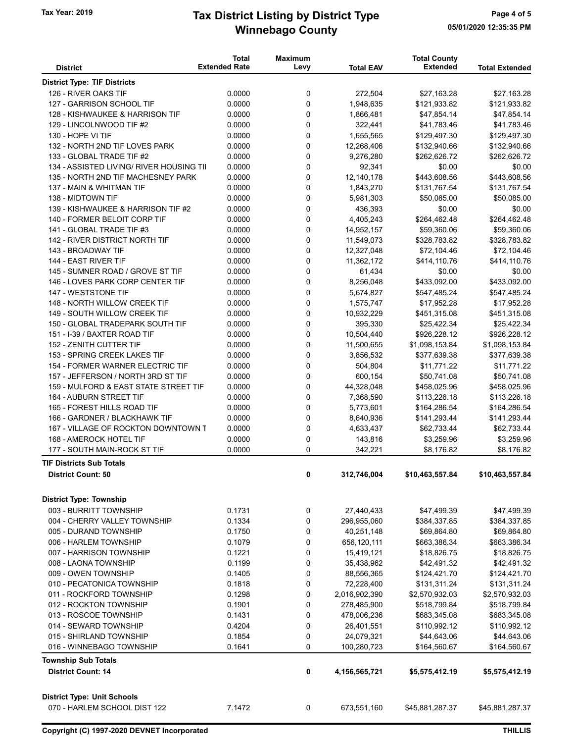### Winnebago County Tax Year: 2019 **Tax District Listing by District Type** Page 4 of 5

| <b>District</b>                                              | <b>Total</b><br><b>Extended Rate</b> | <b>Maximum</b><br>Levy | <b>Total EAV</b> | <b>Total County</b><br><b>Extended</b> | <b>Total Extended</b> |
|--------------------------------------------------------------|--------------------------------------|------------------------|------------------|----------------------------------------|-----------------------|
| <b>District Type: TIF Districts</b>                          |                                      |                        |                  |                                        |                       |
| 126 - RIVER OAKS TIF                                         | 0.0000                               | 0                      | 272,504          | \$27,163.28                            | \$27,163.28           |
| 127 - GARRISON SCHOOL TIF                                    | 0.0000                               | 0                      | 1,948,635        | \$121,933.82                           | \$121,933.82          |
| 128 - KISHWAUKEE & HARRISON TIF                              | 0.0000                               | 0                      | 1,866,481        | \$47,854.14                            | \$47,854.14           |
| 129 - LINCOLNWOOD TIF #2                                     | 0.0000                               | 0                      | 322,441          | \$41,783.46                            | \$41,783.46           |
| 130 - HOPE VI TIF                                            | 0.0000                               | 0                      | 1,655,565        | \$129,497.30                           | \$129,497.30          |
| 132 - NORTH 2ND TIF LOVES PARK                               | 0.0000                               | 0                      | 12,268,406       | \$132,940.66                           | \$132,940.66          |
| 133 - GLOBAL TRADE TIF #2                                    | 0.0000                               | 0                      | 9,276,280        | \$262,626.72                           | \$262,626.72          |
| 134 - ASSISTED LIVING/ RIVER HOUSING TII                     | 0.0000                               | 0                      | 92,341           | \$0.00                                 | \$0.00                |
| 135 - NORTH 2ND TIF MACHESNEY PARK                           | 0.0000                               | 0                      | 12,140,178       | \$443,608.56                           | \$443,608.56          |
| 137 - MAIN & WHITMAN TIF                                     | 0.0000                               | 0                      | 1,843,270        | \$131,767.54                           | \$131,767.54          |
| 138 - MIDTOWN TIF                                            | 0.0000                               | 0                      | 5,981,303        | \$50,085.00                            | \$50,085.00           |
| 139 - KISHWAUKEE & HARRISON TIF #2                           | 0.0000                               | 0                      | 436,393          | \$0.00                                 | \$0.00                |
| 140 - FORMER BELOIT CORP TIF                                 | 0.0000                               | 0                      | 4,405,243        | \$264,462.48                           | \$264,462.48          |
| 141 - GLOBAL TRADE TIF #3                                    | 0.0000                               | 0                      | 14,952,157       | \$59,360.06                            | \$59,360.06           |
| 142 - RIVER DISTRICT NORTH TIF                               | 0.0000                               | 0                      | 11,549,073       | \$328,783.82                           | \$328,783.82          |
| 143 - BROADWAY TIF                                           | 0.0000                               | 0                      | 12,327,048       | \$72,104.46                            | \$72,104.46           |
| 144 - EAST RIVER TIF                                         | 0.0000                               | 0                      | 11,362,172       | \$414,110.76                           | \$414,110.76          |
| 145 - SUMNER ROAD / GROVE ST TIF                             | 0.0000                               | 0                      | 61,434           | \$0.00                                 | \$0.00                |
| 146 - LOVES PARK CORP CENTER TIF                             | 0.0000                               | 0                      | 8,256,048        | \$433,092.00                           | \$433,092.00          |
| 147 - WESTSTONE TIF                                          | 0.0000                               | 0                      | 5,674,827        | \$547,485.24                           | \$547,485.24          |
| 148 - NORTH WILLOW CREEK TIF                                 | 0.0000                               | 0                      | 1,575,747        | \$17,952.28                            | \$17,952.28           |
| 149 - SOUTH WILLOW CREEK TIF                                 | 0.0000                               | 0                      | 10,932,229       | \$451,315.08                           | \$451,315.08          |
| 150 - GLOBAL TRADEPARK SOUTH TIF                             | 0.0000                               | 0                      | 395,330          | \$25,422.34                            | \$25,422.34           |
| 151 - I-39 / BAXTER ROAD TIF                                 | 0.0000                               | 0                      | 10,504,440       | \$926,228.12                           | \$926,228.12          |
| 152 - ZENITH CUTTER TIF                                      | 0.0000                               | 0                      | 11,500,655       | \$1,098,153.84                         | \$1,098,153.84        |
| 153 - SPRING CREEK LAKES TIF                                 | 0.0000                               | 0                      | 3,856,532        | \$377,639.38                           | \$377,639.38          |
| 154 - FORMER WARNER ELECTRIC TIF                             | 0.0000                               | 0                      | 504,804          | \$11,771.22                            | \$11,771.22           |
| 157 - JEFFERSON / NORTH 3RD ST TIF                           | 0.0000                               | 0                      | 600,154          | \$50,741.08                            | \$50,741.08           |
| 159 - MULFORD & EAST STATE STREET TIF                        | 0.0000                               | 0                      | 44,328,048       | \$458,025.96                           | \$458,025.96          |
| 164 - AUBURN STREET TIF                                      | 0.0000                               | 0                      | 7,368,590        | \$113,226.18                           | \$113,226.18          |
| 165 - FOREST HILLS ROAD TIF                                  | 0.0000                               | 0                      | 5,773,601        | \$164,286.54                           | \$164,286.54          |
| 166 - GARDNER / BLACKHAWK TIF                                | 0.0000                               | 0                      | 8,640,936        | \$141,293.44                           | \$141,293.44          |
| 167 - VILLAGE OF ROCKTON DOWNTOWN T                          | 0.0000                               | 0                      | 4,633,437        | \$62,733.44                            | \$62,733.44           |
| 168 - AMEROCK HOTEL TIF                                      | 0.0000                               | 0                      | 143,816          | \$3,259.96                             | \$3,259.96            |
| 177 - SOUTH MAIN-ROCK ST TIF                                 | 0.0000                               | 0                      | 342,221          | \$8,176.82                             | \$8,176.82            |
| <b>TIF Districts Sub Totals</b><br><b>District Count: 50</b> |                                      | 0                      | 312,746,004      | \$10,463,557.84                        | \$10,463,557.84       |
|                                                              |                                      |                        |                  |                                        |                       |
| <b>District Type: Township</b>                               |                                      |                        |                  |                                        |                       |
| 003 - BURRITT TOWNSHIP                                       | 0.1731                               | 0                      | 27,440,433       | \$47,499.39                            | \$47,499.39           |
| 004 - CHERRY VALLEY TOWNSHIP                                 | 0.1334                               | 0                      | 296,955,060      | \$384,337.85                           | \$384,337.85          |
| 005 - DURAND TOWNSHIP                                        | 0.1750                               | 0                      | 40,251,148       | \$69,864.80                            | \$69,864.80           |
| 006 - HARLEM TOWNSHIP                                        | 0.1079                               | 0                      | 656,120,111      | \$663,386.34                           | \$663,386.34          |
| 007 - HARRISON TOWNSHIP                                      | 0.1221                               | 0                      | 15,419,121       | \$18,826.75                            | \$18,826.75           |
| 008 - LAONA TOWNSHIP                                         | 0.1199                               | 0                      | 35,438,962       | \$42,491.32                            | \$42,491.32           |
| 009 - OWEN TOWNSHIP                                          | 0.1405                               | 0                      | 88,556,365       | \$124,421.70                           | \$124,421.70          |
| 010 - PECATONICA TOWNSHIP                                    | 0.1818                               | 0                      | 72,228,400       | \$131,311.24                           | \$131,311.24          |
| 011 - ROCKFORD TOWNSHIP                                      | 0.1298                               | 0                      | 2,016,902,390    | \$2,570,932.03                         | \$2,570,932.03        |
| 012 - ROCKTON TOWNSHIP                                       | 0.1901                               | 0                      | 278,485,900      | \$518,799.84                           | \$518,799.84          |
| 013 - ROSCOE TOWNSHIP                                        | 0.1431                               | 0                      | 478,006,236      | \$683,345.08                           | \$683,345.08          |
| 014 - SEWARD TOWNSHIP                                        | 0.4204                               | 0                      | 26,401,551       | \$110,992.12                           | \$110,992.12          |
| 015 - SHIRLAND TOWNSHIP                                      | 0.1854                               | 0                      | 24,079,321       | \$44,643.06                            | \$44,643.06           |
| 016 - WINNEBAGO TOWNSHIP                                     | 0.1641                               | 0                      | 100,280,723      | \$164,560.67                           | \$164,560.67          |
| <b>Township Sub Totals</b>                                   |                                      |                        |                  |                                        |                       |
| <b>District Count: 14</b>                                    |                                      | 0                      | 4,156,565,721    | \$5,575,412.19                         | \$5,575,412.19        |
| <b>District Type: Unit Schools</b>                           |                                      |                        |                  |                                        |                       |
| 070 - HARLEM SCHOOL DIST 122                                 | 7.1472                               | 0                      | 673,551,160      | \$45,881,287.37                        | \$45,881,287.37       |